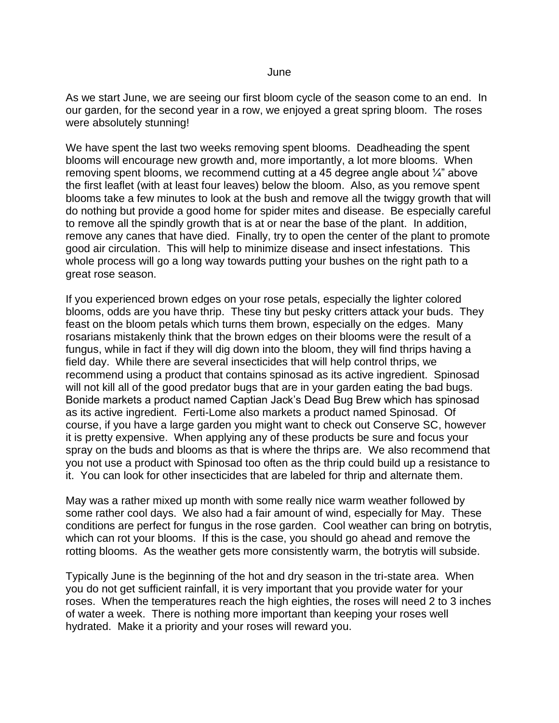June

As we start June, we are seeing our first bloom cycle of the season come to an end. In our garden, for the second year in a row, we enjoyed a great spring bloom. The roses were absolutely stunning!

We have spent the last two weeks removing spent blooms. Deadheading the spent blooms will encourage new growth and, more importantly, a lot more blooms. When removing spent blooms, we recommend cutting at a 45 degree angle about  $\frac{1}{4}$ " above the first leaflet (with at least four leaves) below the bloom. Also, as you remove spent blooms take a few minutes to look at the bush and remove all the twiggy growth that will do nothing but provide a good home for spider mites and disease. Be especially careful to remove all the spindly growth that is at or near the base of the plant. In addition, remove any canes that have died. Finally, try to open the center of the plant to promote good air circulation. This will help to minimize disease and insect infestations. This whole process will go a long way towards putting your bushes on the right path to a great rose season.

If you experienced brown edges on your rose petals, especially the lighter colored blooms, odds are you have thrip. These tiny but pesky critters attack your buds. They feast on the bloom petals which turns them brown, especially on the edges. Many rosarians mistakenly think that the brown edges on their blooms were the result of a fungus, while in fact if they will dig down into the bloom, they will find thrips having a field day. While there are several insecticides that will help control thrips, we recommend using a product that contains spinosad as its active ingredient. Spinosad will not kill all of the good predator bugs that are in your garden eating the bad bugs. Bonide markets a product named Captian Jack's Dead Bug Brew which has spinosad as its active ingredient. Ferti-Lome also markets a product named Spinosad. Of course, if you have a large garden you might want to check out Conserve SC, however it is pretty expensive. When applying any of these products be sure and focus your spray on the buds and blooms as that is where the thrips are. We also recommend that you not use a product with Spinosad too often as the thrip could build up a resistance to it. You can look for other insecticides that are labeled for thrip and alternate them.

May was a rather mixed up month with some really nice warm weather followed by some rather cool days. We also had a fair amount of wind, especially for May. These conditions are perfect for fungus in the rose garden. Cool weather can bring on botrytis, which can rot your blooms. If this is the case, you should go ahead and remove the rotting blooms. As the weather gets more consistently warm, the botrytis will subside.

Typically June is the beginning of the hot and dry season in the tri-state area. When you do not get sufficient rainfall, it is very important that you provide water for your roses. When the temperatures reach the high eighties, the roses will need 2 to 3 inches of water a week. There is nothing more important than keeping your roses well hydrated. Make it a priority and your roses will reward you.